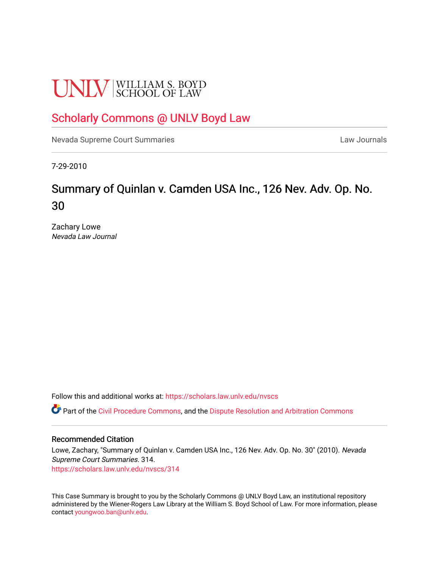# **UNLV** SCHOOL OF LAW

# [Scholarly Commons @ UNLV Boyd Law](https://scholars.law.unlv.edu/)

[Nevada Supreme Court Summaries](https://scholars.law.unlv.edu/nvscs) **Law Journals** Law Journals

7-29-2010

# Summary of Quinlan v. Camden USA Inc., 126 Nev. Adv. Op. No. 30

Zachary Lowe Nevada Law Journal

Follow this and additional works at: [https://scholars.law.unlv.edu/nvscs](https://scholars.law.unlv.edu/nvscs?utm_source=scholars.law.unlv.edu%2Fnvscs%2F314&utm_medium=PDF&utm_campaign=PDFCoverPages)

**C** Part of the [Civil Procedure Commons,](http://network.bepress.com/hgg/discipline/584?utm_source=scholars.law.unlv.edu%2Fnvscs%2F314&utm_medium=PDF&utm_campaign=PDFCoverPages) and the Dispute Resolution and Arbitration Commons

#### Recommended Citation

Lowe, Zachary, "Summary of Quinlan v. Camden USA Inc., 126 Nev. Adv. Op. No. 30" (2010). Nevada Supreme Court Summaries. 314. [https://scholars.law.unlv.edu/nvscs/314](https://scholars.law.unlv.edu/nvscs/314?utm_source=scholars.law.unlv.edu%2Fnvscs%2F314&utm_medium=PDF&utm_campaign=PDFCoverPages)

This Case Summary is brought to you by the Scholarly Commons @ UNLV Boyd Law, an institutional repository administered by the Wiener-Rogers Law Library at the William S. Boyd School of Law. For more information, please contact [youngwoo.ban@unlv.edu](mailto:youngwoo.ban@unlv.edu).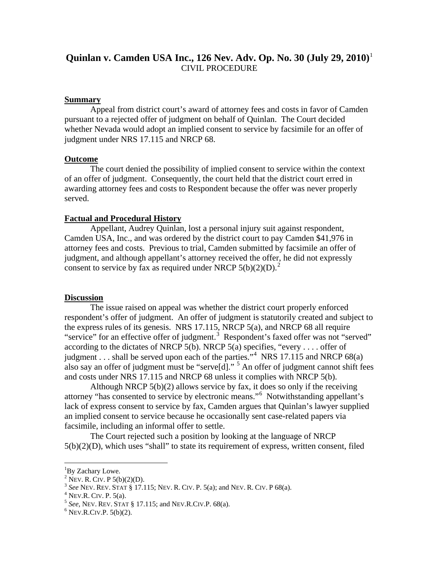# **Quinlan v. Camden USA Inc., 126 Nev. Adv. Op. No. 30 (July 29, 2010)**[1](#page-1-0) CIVIL PROCEDURE

#### **Summary**

Appeal from district court's award of attorney fees and costs in favor of Camden pursuant to a rejected offer of judgment on behalf of Quinlan. The Court decided whether Nevada would adopt an implied consent to service by facsimile for an offer of judgment under NRS 17.115 and NRCP 68.

#### **Outcome**

The court denied the possibility of implied consent to service within the context of an offer of judgment. Consequently, the court held that the district court erred in awarding attorney fees and costs to Respondent because the offer was never properly served.

#### **Factual and Procedural History**

Appellant, Audrey Quinlan, lost a personal injury suit against respondent, Camden USA, Inc., and was ordered by the district court to pay Camden \$41,976 in attorney fees and costs. Previous to trial, Camden submitted by facsimile an offer of judgment, and although appellant's attorney received the offer, he did not expressly consent to service by fax as required under NRCP  $5(b)(2)(D)^2$  $5(b)(2)(D)^2$  $5(b)(2)(D)^2$ .

#### **Discussion**

The issue raised on appeal was whether the district court properly enforced respondent's offer of judgment. An offer of judgment is statutorily created and subject to the express rules of its genesis. NRS 17.115, NRCP 5(a), and NRCP 68 all require "service" for an effective offer of judgment.<sup>[3](#page-1-2)</sup> Respondent's faxed offer was not "served" according to the dictates of NRCP 5(b). NRCP 5(a) specifies, "every ... . offer of judgment . . . shall be served upon each of the parties."<sup>[4](#page-1-3)</sup> NRS 17.115 and NRCP 68(a) also say an offer of judgment must be "serve $[d]$ ." <sup>[5](#page-1-4)</sup> An offer of judgment cannot shift fees and costs under NRS 17.115 and NRCP 68 unless it complies with NRCP 5(b).

Although NRCP 5(b)(2) allows service by fax, it does so only if the receiving attorney "has consented to service by electronic means." [6](#page-1-5) Notwithstanding appellant's lack of express consent to service by fax, Camden argues that Quinlan's lawyer supplied an implied consent to service because he occasionally sent case-related papers via facsimile, including an informal offer to settle.

The Court rejected such a position by looking at the language of NRCP 5(b)(2)(D), which uses "shall" to state its requirement of express, written consent, filed

 $\frac{1}{1}$ 

<span id="page-1-2"></span><span id="page-1-1"></span>

<span id="page-1-0"></span><sup>&</sup>lt;sup>1</sup>By Zachary Lowe.<br>
<sup>2</sup> Nev. R. CIV. P 5(b)(2)(D).<br>
<sup>3</sup> See Nev. Rev. STAT § 17.115; Nev. R. CIV. P. 5(a); and Nev. R. CIV. P 68(a).<br>
<sup>4</sup> Nev. R. CIV. P. 5(a).<br>
<sup>5</sup> See, Nev. Rev. STAT § 17.115; and Nev. R. CIV. P. 68(a)

<span id="page-1-3"></span>

<span id="page-1-4"></span>

<span id="page-1-5"></span>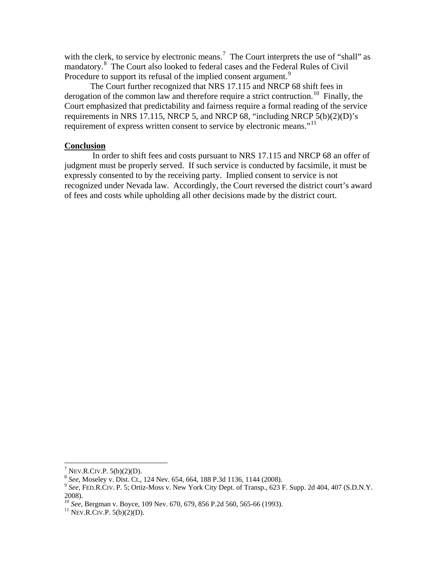with the clerk, to service by electronic means.<sup>[7](#page-2-0)</sup> The Court interprets the use of "shall" as mandatory.[8](#page-2-1) The Court also looked to federal cases and the Federal Rules of Civil Procedure to support its refusal of the implied consent argument.<sup>[9](#page-2-2)</sup>

The Court further recognized that NRS 17.115 and NRCP 68 shift fees in derogation of the common law and therefore require a strict contruction.<sup>[10](#page-2-3)</sup> Finally, the Court emphasized that predictability and fairness require a formal reading of the service requirements in NRS 17.115, NRCP 5, and NRCP 68, "including NRCP 5(b)(2)(D)'s requirement of express written consent to service by electronic means."<sup>[11](#page-2-4)</sup>

#### **Conclusion**

In order to shift fees and costs pursuant to NRS 17.115 and NRCP 68 an offer of judgment must be properly served. If such service is conducted by facsimile, it must be expressly consented to by the receiving party. Implied consent to service is not recognized under Nevada law. Accordingly, the Court reversed the district court's award of fees and costs while upholding all other decisions made by the district court.

<span id="page-2-2"></span><span id="page-2-1"></span>

<span id="page-2-0"></span><sup>7</sup> NEV.R.CIV.P. 5(b)(2)(D). <sup>8</sup> *See*, Moseley v. Dist. Ct., 124 Nev. 654, 664, 188 P.3d 1136, 1144 (2008). <sup>9</sup> *See*, FED.R.CIV. P. 5; Ortiz-Moss v. New York City Dept. of Transp., 623 F. Supp. 2d 404, 407 (S.D.N.Y. 2008).

<span id="page-2-4"></span><span id="page-2-3"></span><sup>&</sup>lt;sup>10</sup> *See*, Bergman v. Boyce, 109 Nev. 670, 679, 856 P.2d 560, 565-66 (1993).<br><sup>11</sup> NEV.R.CIV.P. 5(b)(2)(D).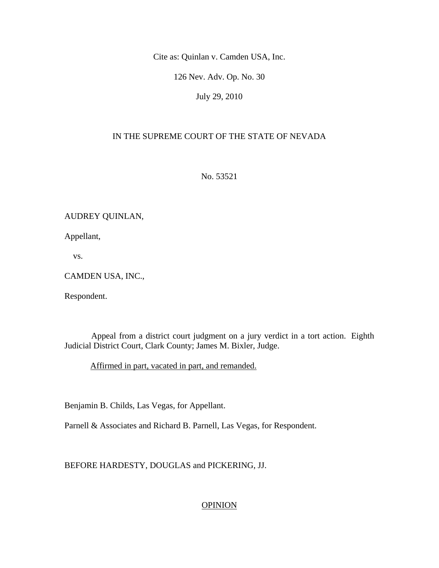Cite as: Quinlan v. Camden USA, Inc.

126 Nev. Adv. Op. No. 30

July 29, 2010

## IN THE SUPREME COURT OF THE STATE OF NEVADA

No. 53521

### AUDREY QUINLAN,

Appellant,

vs.

#### CAMDEN USA, INC.,

Respondent.

 Appeal from a district court judgment on a jury verdict in a tort action. Eighth Judicial District Court, Clark County; James M. Bixler, Judge.

Affirmed in part, vacated in part, and remanded.

Benjamin B. Childs, Las Vegas, for Appellant.

Parnell & Associates and Richard B. Parnell, Las Vegas, for Respondent.

BEFORE HARDESTY, DOUGLAS and PICKERING, JJ.

## **OPINION**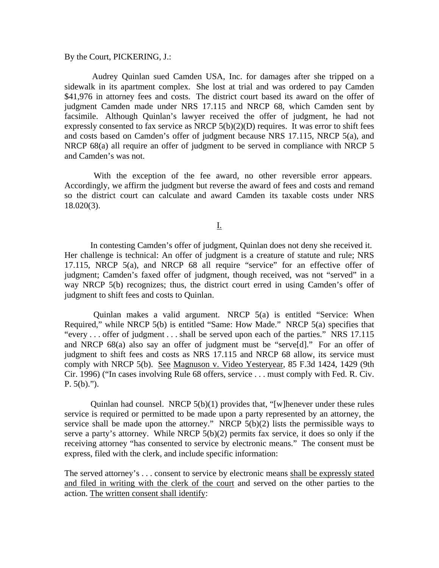By the Court, PICKERING, J.:

 Audrey Quinlan sued Camden USA, Inc. for damages after she tripped on a sidewalk in its apartment complex. She lost at trial and was ordered to pay Camden \$41,976 in attorney fees and costs. The district court based its award on the offer of judgment Camden made under NRS 17.115 and NRCP 68, which Camden sent by facsimile. Although Quinlan's lawyer received the offer of judgment, he had not expressly consented to fax service as NRCP  $5(b)(2)(D)$  requires. It was error to shift fees and costs based on Camden's offer of judgment because NRS 17.115, NRCP 5(a), and NRCP 68(a) all require an offer of judgment to be served in compliance with NRCP 5 and Camden's was not.

 With the exception of the fee award, no other reversible error appears. Accordingly, we affirm the judgment but reverse the award of fees and costs and remand so the district court can calculate and award Camden its taxable costs under NRS 18.020(3).

I.

 In contesting Camden's offer of judgment, Quinlan does not deny she received it. Her challenge is technical: An offer of judgment is a creature of statute and rule; NRS 17.115, NRCP 5(a), and NRCP 68 all require "service" for an effective offer of judgment; Camden's faxed offer of judgment, though received, was not "served" in a way NRCP 5(b) recognizes; thus, the district court erred in using Camden's offer of judgment to shift fees and costs to Quinlan.

 Quinlan makes a valid argument. NRCP 5(a) is entitled "Service: When Required," while NRCP 5(b) is entitled "Same: How Made." NRCP 5(a) specifies that "every . . . offer of judgment . . . shall be served upon each of the parties." NRS 17.115 and NRCP 68(a) also say an offer of judgment must be "serve[d]." For an offer of judgment to shift fees and costs as NRS 17.115 and NRCP 68 allow, its service must comply with NRCP 5(b). See Magnuson v. Video Yesteryear, 85 F.3d 1424, 1429 (9th Cir. 1996) ("In cases involving Rule 68 offers, service . . . must comply with Fed. R. Civ.  $P. 5(b)$ .").

Quinlan had counsel. NRCP  $5(b)(1)$  provides that, "[w]henever under these rules service is required or permitted to be made upon a party represented by an attorney, the service shall be made upon the attorney." NRCP  $5(b)(2)$  lists the permissible ways to serve a party's attorney. While NRCP 5(b)(2) permits fax service, it does so only if the receiving attorney "has consented to service by electronic means." The consent must be express, filed with the clerk, and include specific information:

The served attorney's . . . consent to service by electronic means shall be expressly stated and filed in writing with the clerk of the court and served on the other parties to the action. The written consent shall identify: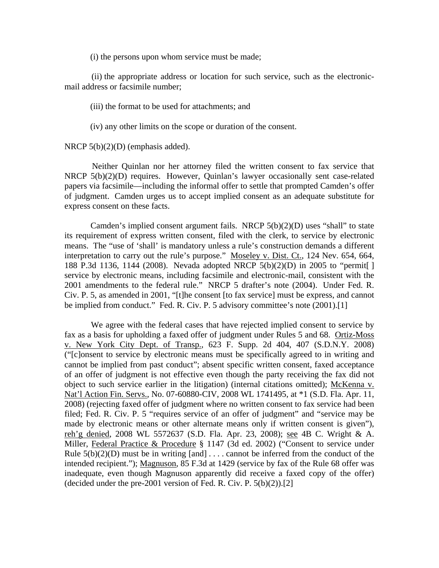(i) the persons upon whom service must be made;

 (ii) the appropriate address or location for such service, such as the electronicmail address or facsimile number;

(iii) the format to be used for attachments; and

(iv) any other limits on the scope or duration of the consent.

NRCP 5(b)(2)(D) (emphasis added).

 Neither Quinlan nor her attorney filed the written consent to fax service that NRCP 5(b)(2)(D) requires. However, Quinlan's lawyer occasionally sent case-related papers via facsimile—including the informal offer to settle that prompted Camden's offer of judgment. Camden urges us to accept implied consent as an adequate substitute for express consent on these facts.

 Camden's implied consent argument fails. NRCP 5(b)(2)(D) uses "shall" to state its requirement of express written consent, filed with the clerk, to service by electronic means. The "use of 'shall' is mandatory unless a rule's construction demands a different interpretation to carry out the rule's purpose." Moseley v. Dist. Ct., 124 Nev. 654, 664, 188 P.3d 1136, 1144 (2008). Nevada adopted NRCP 5(b)(2)(D) in 2005 to "permit[ ] service by electronic means, including facsimile and electronic-mail, consistent with the 2001 amendments to the federal rule." NRCP 5 drafter's note (2004). Under Fed. R. Civ. P. 5, as amended in 2001, "[t]he consent [to fax service] must be express, and cannot be implied from conduct." Fed. R. Civ. P. 5 advisory committee's note (2001).[1]

 We agree with the federal cases that have rejected implied consent to service by fax as a basis for upholding a faxed offer of judgment under Rules 5 and 68. Ortiz-Moss v. New York City Dept. of Transp., 623 F. Supp. 2d 404, 407 (S.D.N.Y. 2008) ("[c]onsent to service by electronic means must be specifically agreed to in writing and cannot be implied from past conduct"; absent specific written consent, faxed acceptance of an offer of judgment is not effective even though the party receiving the fax did not object to such service earlier in the litigation) (internal citations omitted); McKenna v. Nat'l Action Fin. Servs., No. 07-60880-CIV, 2008 WL 1741495, at \*1 (S.D. Fla. Apr. 11, 2008) (rejecting faxed offer of judgment where no written consent to fax service had been filed; Fed. R. Civ. P. 5 "requires service of an offer of judgment" and "service may be made by electronic means or other alternate means only if written consent is given"), reh'g denied, 2008 WL 5572637 (S.D. Fla. Apr. 23, 2008); see 4B C. Wright & A. Miller, Federal Practice & Procedure § 1147 (3d ed. 2002) ("Consent to service under Rule  $5(b)(2)(D)$  must be in writing [and] ... cannot be inferred from the conduct of the intended recipient."); Magnuson, 85 F.3d at 1429 (service by fax of the Rule 68 offer was inadequate, even though Magnuson apparently did receive a faxed copy of the offer) (decided under the pre-2001 version of Fed. R. Civ. P.  $5(b)(2)$ ).[2]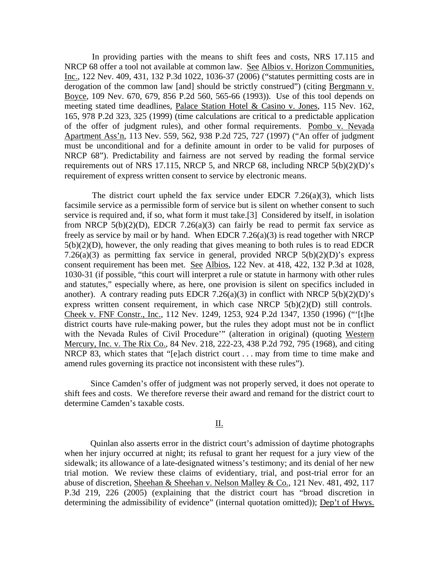In providing parties with the means to shift fees and costs, NRS 17.115 and NRCP 68 offer a tool not available at common law. See Albios v. Horizon Communities, Inc., 122 Nev. 409, 431, 132 P.3d 1022, 1036-37 (2006) ("statutes permitting costs are in derogation of the common law [and] should be strictly construed") (citing Bergmann v. Boyce, 109 Nev. 670, 679, 856 P.2d 560, 565-66 (1993)). Use of this tool depends on meeting stated time deadlines, Palace Station Hotel & Casino v. Jones, 115 Nev. 162, 165, 978 P.2d 323, 325 (1999) (time calculations are critical to a predictable application of the offer of judgment rules), and other formal requirements. Pombo v. Nevada Apartment Ass'n, 113 Nev. 559, 562, 938 P.2d 725, 727 (1997) ("An offer of judgment must be unconditional and for a definite amount in order to be valid for purposes of NRCP 68"). Predictability and fairness are not served by reading the formal service requirements out of NRS 17.115, NRCP 5, and NRCP 68, including NRCP 5(b)(2)(D)'s requirement of express written consent to service by electronic means.

The district court upheld the fax service under EDCR 7.26(a)(3), which lists facsimile service as a permissible form of service but is silent on whether consent to such service is required and, if so, what form it must take.[3] Considered by itself, in isolation from NRCP  $5(b)(2)(D)$ , EDCR 7.26(a)(3) can fairly be read to permit fax service as freely as service by mail or by hand. When EDCR 7.26(a)(3) is read together with NRCP  $5(b)(2)(D)$ , however, the only reading that gives meaning to both rules is to read EDCR 7.26(a)(3) as permitting fax service in general, provided NRCP  $5(b)(2)(D)$ 's express consent requirement has been met. See Albios, 122 Nev. at 418, 422, 132 P.3d at 1028, 1030-31 (if possible, "this court will interpret a rule or statute in harmony with other rules and statutes," especially where, as here, one provision is silent on specifics included in another). A contrary reading puts EDCR 7.26(a)(3) in conflict with NRCP  $5(b)(2)(D)$ 's express written consent requirement, in which case NRCP 5(b)(2)(D) still controls. Cheek v. FNF Constr., Inc., 112 Nev. 1249, 1253, 924 P.2d 1347, 1350 (1996) ("'[t]he district courts have rule-making power, but the rules they adopt must not be in conflict with the Nevada Rules of Civil Procedure'" (alteration in original) (quoting Western Mercury, Inc. v. The Rix Co., 84 Nev. 218, 222-23, 438 P.2d 792, 795 (1968), and citing NRCP 83, which states that "[e]ach district court . . . may from time to time make and amend rules governing its practice not inconsistent with these rules").

 Since Camden's offer of judgment was not properly served, it does not operate to shift fees and costs. We therefore reverse their award and remand for the district court to determine Camden's taxable costs.

#### II.

 Quinlan also asserts error in the district court's admission of daytime photographs when her injury occurred at night; its refusal to grant her request for a jury view of the sidewalk; its allowance of a late-designated witness's testimony; and its denial of her new trial motion. We review these claims of evidentiary, trial, and post-trial error for an abuse of discretion, Sheehan & Sheehan v. Nelson Malley & Co., 121 Nev. 481, 492, 117 P.3d 219, 226 (2005) (explaining that the district court has "broad discretion in determining the admissibility of evidence" (internal quotation omitted)); Dep't of Hwys.